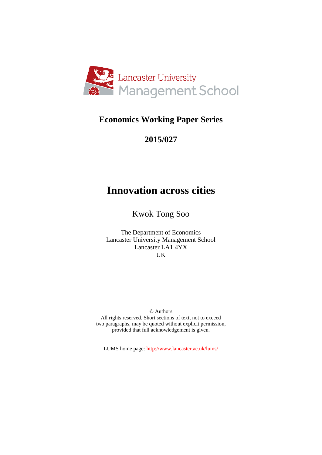

# **Economics Working Paper Series**

# **2015/027**

# **Innovation across cities**

Kwok Tong Soo

The Department of Economics Lancaster University Management School Lancaster LA1 4YX UK

© Authors All rights reserved. Short sections of text, not to exceed two paragraphs, may be quoted without explicit permission, provided that full acknowledgement is given.

LUMS home page: http://www.lancaster.ac.uk/lums/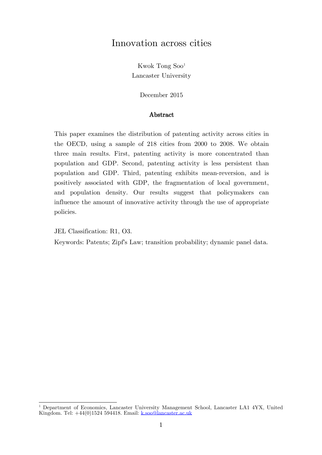# Innovation across cities

Kwok Tong Soo[1](#page-1-0) Lancaster University

December 2015

#### Abstract

This paper examines the distribution of patenting activity across cities in the OECD, using a sample of 218 cities from 2000 to 2008. We obtain three main results. First, patenting activity is more concentrated than population and GDP. Second, patenting activity is less persistent than population and GDP. Third, patenting exhibits mean-reversion, and is positively associated with GDP, the fragmentation of local government, and population density. Our results suggest that policymakers can influence the amount of innovative activity through the use of appropriate policies.

JEL Classification: R1, O3.

Keywords: Patents; Zipf's Law; transition probability; dynamic panel data.

<span id="page-1-0"></span><sup>1</sup> Department of Economics, Lancaster University Management School, Lancaster LA1 4YX, United Kingdom. Tel:  $+44(0)1524$  594418. Email: [k.soo@lancaster.ac.uk](mailto:k.soo@lancaster.ac.uk)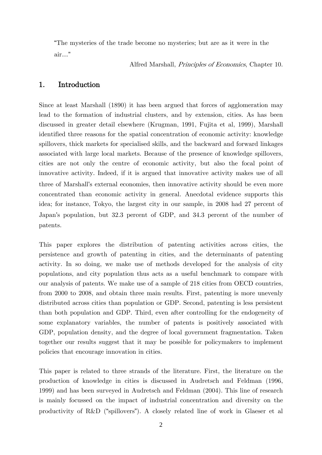"The mysteries of the trade become no mysteries; but are as it were in the air…"

Alfred Marshall, Principles of Economics, Chapter 10.

## 1. Introduction

Since at least Marshall (1890) it has been argued that forces of agglomeration may lead to the formation of industrial clusters, and by extension, cities. As has been discussed in greater detail elsewhere (Krugman, 1991, Fujita et al, 1999), Marshall identified three reasons for the spatial concentration of economic activity: knowledge spillovers, thick markets for specialised skills, and the backward and forward linkages associated with large local markets. Because of the presence of knowledge spillovers, cities are not only the centre of economic activity, but also the focal point of innovative activity. Indeed, if it is argued that innovative activity makes use of all three of Marshall's external economies, then innovative activity should be even more concentrated than economic activity in general. Anecdotal evidence supports this idea; for instance, Tokyo, the largest city in our sample, in 2008 had 27 percent of Japan's population, but 32.3 percent of GDP, and 34.3 percent of the number of patents.

This paper explores the distribution of patenting activities across cities, the persistence and growth of patenting in cities, and the determinants of patenting activity. In so doing, we make use of methods developed for the analysis of city populations, and city population thus acts as a useful benchmark to compare with our analysis of patents. We make use of a sample of 218 cities from OECD countries, from 2000 to 2008, and obtain three main results. First, patenting is more unevenly distributed across cities than population or GDP. Second, patenting is less persistent than both population and GDP. Third, even after controlling for the endogeneity of some explanatory variables, the number of patents is positively associated with GDP, population density, and the degree of local government fragmentation. Taken together our results suggest that it may be possible for policymakers to implement policies that encourage innovation in cities.

This paper is related to three strands of the literature. First, the literature on the production of knowledge in cities is discussed in Audretsch and Feldman (1996, 1999) and has been surveyed in Audretsch and Feldman (2004). This line of research is mainly focussed on the impact of industrial concentration and diversity on the productivity of R&D ("spillovers"). A closely related line of work in Glaeser et al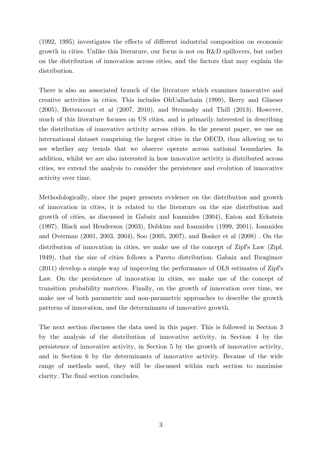(1992, 1995) investigates the effects of different industrial composition on economic growth in cities. Unlike this literature, our focus is not on R&D spillovers, but rather on the distribution of innovation across cities, and the factors that may explain the distribution.

There is also an associated branch of the literature which examines innovative and creative activities in cities. This includes OhUallachain (1999), Berry and Glaeser (2005), Bettencourt et al (2007, 2010), and Strumsky and Thill (2013). However, much of this literature focuses on US cities, and is primarily interested in describing the distribution of innovative activity across cities. In the present paper, we use an international dataset comprising the largest cities in the OECD, thus allowing us to see whether any trends that we observe operate across national boundaries. In addition, whilst we are also interested in how innovative activity is distributed across cities, we extend the analysis to consider the persistence and evolution of innovative activity over time.

Methodologically, since the paper presents evidence on the distribution and growth of innovation in cities, it is related to the literature on the size distribution and growth of cities, as discussed in Gabaix and Ioannides (2004), Eaton and Eckstein (1997), Black and Henderson (2003), Dobkins and Ioannides (1999, 2001), Ioannides and Overman (2001, 2003, 2004), Soo (2005, 2007), and Bosker et al (2008) . On the distribution of innovation in cities, we make use of the concept of Zipf's Law (Zipf, 1949), that the size of cities follows a Pareto distribution. Gabaix and Ibragimov (2011) develop a simple way of improving the performance of OLS estimates of Zipf's Law. On the persistence of innovation in cities, we make use of the concept of transition probability matrices. Finally, on the growth of innovation over time, we make use of both parametric and non-parametric approaches to describe the growth patterns of innovation, and the determinants of innovative growth.

The next section discusses the data used in this paper. This is followed in Section 3 by the analysis of the distribution of innovative activity, in Section 4 by the persistence of innovative activity, in Section 5 by the growth of innovative activity, and in Section 6 by the determinants of innovative activity. Because of the wide range of methods used, they will be discussed within each section to maximise clarity. The final section concludes.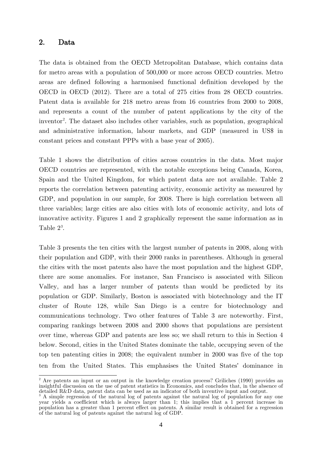## 2. Data

The data is obtained from the OECD Metropolitan Database, which contains data for metro areas with a population of 500,000 or more across OECD countries. Metro areas are defined following a harmonised functional definition developed by the OECD in OECD (2012). There are a total of 275 cities from 28 OECD countries. Patent data is available for 218 metro areas from 16 countries from 2000 to 2008, and represents a count of the number of patent applications by the city of the inventor<sup>[2](#page-4-0)</sup>. The dataset also includes other variables, such as population, geographical and administrative information, labour markets, and GDP (measured in US\$ in constant prices and constant PPPs with a base year of 2005).

Table 1 shows the distribution of cities across countries in the data. Most major OECD countries are represented, with the notable exceptions being Canada, Korea, Spain and the United Kingdom, for which patent data are not available. Table 2 reports the correlation between patenting activity, economic activity as measured by GDP, and population in our sample, for 2008. There is high correlation between all three variables; large cities are also cities with lots of economic activity, and lots of innovative activity. Figures 1 and 2 graphically represent the same information as in Table  $2^3$  $2^3$ .

Table 3 presents the ten cities with the largest number of patents in 2008, along with their population and GDP, with their 2000 ranks in parentheses. Although in general the cities with the most patents also have the most population and the highest GDP, there are some anomalies. For instance, San Francisco is associated with Silicon Valley, and has a larger number of patents than would be predicted by its population or GDP. Similarly, Boston is associated with biotechnology and the IT cluster of Route 128, while San Diego is a centre for biotechnology and communications technology. Two other features of Table 3 are noteworthy. First, comparing rankings between 2008 and 2000 shows that populations are persistent over time, whereas GDP and patents are less so; we shall return to this in Section 4 below. Second, cities in the United States dominate the table, occupying seven of the top ten patenting cities in 2008; the equivalent number in 2000 was five of the top ten from the United States. This emphasises the United States' dominance in

<span id="page-4-0"></span><sup>&</sup>lt;sup>2</sup> Are patents an input or an output in the knowledge creation process? Griliches (1990) provides an insightful discussion on the use of patent statistics in Economics, and concludes that, in the absence of detailed R&D data, patent data can be used as an indicator of both inventive input and output.

<span id="page-4-1"></span><sup>&</sup>lt;sup>3</sup> A simple regression of the natural log of patents against the natural log of population for any one year yields a coefficient which is always larger than 1; this implies that a 1 percent increase in population has a greater than 1 percent effect on patents. A similar result is obtained for a regression of the natural log of patents against the natural log of GDP.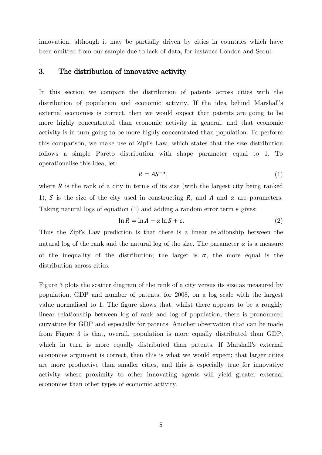innovation, although it may be partially driven by cities in countries which have been omitted from our sample due to lack of data, for instance London and Seoul.

#### 3. The distribution of innovative activity

In this section we compare the distribution of patents across cities with the distribution of population and economic activity. If the idea behind Marshall's external economies is correct, then we would expect that patents are going to be more highly concentrated than economic activity in general, and that economic activity is in turn going to be more highly concentrated than population. To perform this comparison, we make use of Zipf's Law, which states that the size distribution follows a simple Pareto distribution with shape parameter equal to 1. To operationalise this idea, let:

$$
R = A S^{-\alpha},\tag{1}
$$

where  $R$  is the rank of a city in terms of its size (with the largest city being ranked 1), S is the size of the city used in constructing R, and A and  $\alpha$  are parameters. Taking natural logs of equation (1) and adding a random error term  $\epsilon$  gives:

$$
\ln R = \ln A - \alpha \ln S + \epsilon. \tag{2}
$$

Thus the Zipf's Law prediction is that there is a linear relationship between the natural log of the rank and the natural log of the size. The parameter  $\alpha$  is a measure of the inequality of the distribution; the larger is  $\alpha$ , the more equal is the distribution across cities.

Figure 3 plots the scatter diagram of the rank of a city versus its size as measured by population, GDP and number of patents, for 2008, on a log scale with the largest value normalised to 1. The figure shows that, whilst there appears to be a roughly linear relationship between log of rank and log of population, there is pronounced curvature for GDP and especially for patents. Another observation that can be made from Figure 3 is that, overall, population is more equally distributed than GDP, which in turn is more equally distributed than patents. If Marshall's external economies argument is correct, then this is what we would expect; that larger cities are more productive than smaller cities, and this is especially true for innovative activity where proximity to other innovating agents will yield greater external economies than other types of economic activity.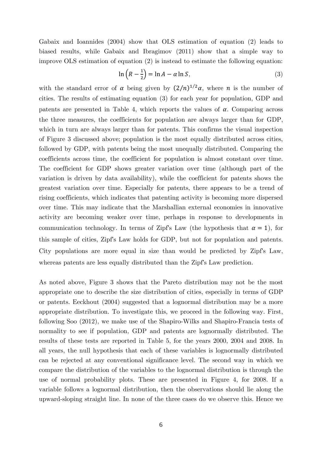Gabaix and Ioannides (2004) show that OLS estimation of equation (2) leads to biased results, while Gabaix and Ibragimov (2011) show that a simple way to improve OLS estimation of equation (2) is instead to estimate the following equation:

$$
\ln\left(R - \frac{1}{2}\right) = \ln A - \alpha \ln S,\tag{3}
$$

with the standard error of  $\alpha$  being given by  $(2/n)^{1/2}\alpha$ , where  $n$  is the number of cities. The results of estimating equation (3) for each year for population, GDP and patents are presented in Table 4, which reports the values of  $\alpha$ . Comparing across the three measures, the coefficients for population are always larger than for GDP, which in turn are always larger than for patents. This confirms the visual inspection of Figure 3 discussed above; population is the most equally distributed across cities, followed by GDP, with patents being the most unequally distributed. Comparing the coefficients across time, the coefficient for population is almost constant over time. The coefficient for GDP shows greater variation over time (although part of the variation is driven by data availability), while the coefficient for patents shows the greatest variation over time. Especially for patents, there appears to be a trend of rising coefficients, which indicates that patenting activity is becoming more dispersed over time. This may indicate that the Marshallian external economies in innovative activity are becoming weaker over time, perhaps in response to developments in communication technology. In terms of Zipf's Law (the hypothesis that  $\alpha = 1$ ), for this sample of cities, Zipf's Law holds for GDP, but not for population and patents. City populations are more equal in size than would be predicted by Zipf's Law, whereas patents are less equally distributed than the Zipf's Law prediction.

As noted above, Figure 3 shows that the Pareto distribution may not be the most appropriate one to describe the size distribution of cities, especially in terms of GDP or patents. Eeckhout (2004) suggested that a lognormal distribution may be a more appropriate distribution. To investigate this, we proceed in the following way. First, following Soo (2012), we make use of the Shapiro-Wilks and Shapiro-Francia tests of normality to see if population, GDP and patents are lognormally distributed. The results of these tests are reported in Table 5, for the years 2000, 2004 and 2008. In all years, the null hypothesis that each of these variables is lognormally distributed can be rejected at any conventional significance level. The second way in which we compare the distribution of the variables to the lognormal distribution is through the use of normal probability plots. These are presented in Figure 4, for 2008. If a variable follows a lognormal distribution, then the observations should lie along the upward-sloping straight line. In none of the three cases do we observe this. Hence we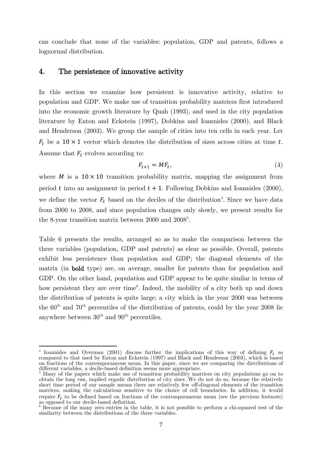can conclude that none of the variables: population, GDP and patents, follows a lognormal distribution.

#### 4. The persistence of innovative activity

In this section we examine how persistent is innovative activity, relative to population and GDP. We make use of transition probability matrices first introduced into the economic growth literature by Quah (1993), and used in the city population literature by Eaton and Eckstein (1997), Dobkins and Ioannides (2000), and Black and Henderson (2003). We group the sample of cities into ten cells in each year. Let  $F_t$  be a 10 × 1 vector which denotes the distribution of sizes across cities at time t. Assume that  $F_t$  evolves according to:

$$
F_{t+1} = MF_t,\tag{4}
$$

where  $M$  is a  $10 \times 10$  transition probability matrix, mapping the assignment from period  $t$  into an assignment in period  $t + 1$ . Following Dobkins and Ioannides (2000), we define the vector  $F_t$  based on the deciles of the distribution<sup>[4](#page-7-0)</sup>. Since we have data from 2000 to 2008, and since population changes only slowly, we present results for the 8-year transition matrix between 2000 and 2008<sup>[5](#page-7-1)</sup>.

Table 6 presents the results, arranged so as to make the comparison between the three variables (population, GDP and patents) as clear as possible. Overall, patents exhibit less persistence than population and GDP; the diagonal elements of the matrix (in bold type) are, on average, smaller for patents than for population and GDP. On the other hand, population and GDP appear to be quite similar in terms of how persistent they are over time<sup>[6](#page-7-2)</sup>. Indeed, the mobility of a city both up and down the distribution of patents is quite large; a city which in the year 2000 was between the  $60<sup>th</sup>$  and  $70<sup>th</sup>$  percentiles of the distribution of patents, could by the year 2008 lie anywhere between  $30^{\text{th}}$  and  $90^{\text{th}}$  percentiles.

 $\overline{a}$ 

<span id="page-7-0"></span><sup>&</sup>lt;sup>4</sup> Ioannides and Overman (2001) discuss further the implications of this way of defining  $F_t$  as compared to that used by Eaton and Eckstein (1997) and Black and Henderson (2003), which is based on fractions of the contemporaneous mean. In this paper, since we are comparing the distributions of different variables, a decile-based definition seems more appropriate.

<span id="page-7-1"></span><sup>&</sup>lt;sup>5</sup> Many of the papers which make use of transition probability matrices on city populations go on to obtain the long run, implied ergodic distribution of city sizes. We do not do so, because the relatively short time period of our sample means there are relatively few off-diagonal elements of the transition matrices, making the calculations sensitive to the choice of cell boundaries. In addition, it would require  $F_t$  to be defined based on fractions of the contemporaneous mean (see the previous footnote) as opposed to our decile-based definition.<br><sup>6</sup> Because of the many zero entries in the table, it is not possible to perform a chi-squared test of the

<span id="page-7-2"></span>similarity between the distributions of the three variables.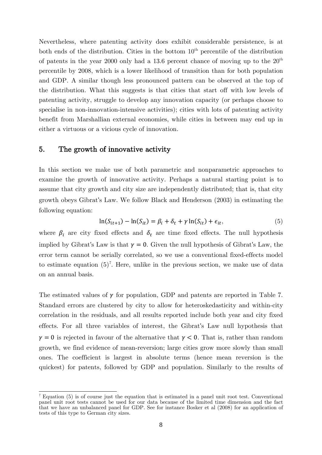Nevertheless, where patenting activity does exhibit considerable persistence, is at both ends of the distribution. Cities in the bottom  $10<sup>th</sup>$  percentile of the distribution of patents in the year 2000 only had a 13.6 percent chance of moving up to the  $20<sup>th</sup>$ percentile by 2008, which is a lower likelihood of transition than for both population and GDP. A similar though less pronounced pattern can be observed at the top of the distribution. What this suggests is that cities that start off with low levels of patenting activity, struggle to develop any innovation capacity (or perhaps choose to specialise in non-innovation-intensive activities); cities with lots of patenting activity benefit from Marshallian external economies, while cities in between may end up in either a virtuous or a vicious cycle of innovation.

#### 5. The growth of innovative activity

In this section we make use of both parametric and nonparametric approaches to examine the growth of innovative activity. Perhaps a natural starting point is to assume that city growth and city size are independently distributed; that is, that city growth obeys Gibrat's Law. We follow Black and Henderson (2003) in estimating the following equation:

$$
\ln(S_{it+1}) - \ln(S_{it}) = \beta_i + \delta_t + \gamma \ln(S_{it}) + \epsilon_{it},\tag{5}
$$

where  $\beta_i$  are city fixed effects and  $\delta_t$  are time fixed effects. The null hypothesis implied by Gibrat's Law is that  $\gamma = 0$ . Given the null hypothesis of Gibrat's Law, the error term cannot be serially correlated, so we use a conventional fixed-effects model to estimate equation  $(5)^7$  $(5)^7$ . Here, unlike in the previous section, we make use of data on an annual basis.

The estimated values of  $\gamma$  for population, GDP and patents are reported in Table 7. Standard errors are clustered by city to allow for heteroskedasticity and within-city correlation in the residuals, and all results reported include both year and city fixed effects. For all three variables of interest, the Gibrat's Law null hypothesis that  $\gamma = 0$  is rejected in favour of the alternative that  $\gamma < 0$ . That is, rather than random growth, we find evidence of mean-reversion; large cities grow more slowly than small ones. The coefficient is largest in absolute terms (hence mean reversion is the quickest) for patents, followed by GDP and population. Similarly to the results of

<span id="page-8-0"></span><sup>&</sup>lt;sup>7</sup> Equation (5) is of course just the equation that is estimated in a panel unit root test. Conventional panel unit root tests cannot be used for our data because of the limited time dimension and the fact that we have an unbalanced panel for GDP. See for instance Bosker et al (2008) for an application of tests of this type to German city sizes.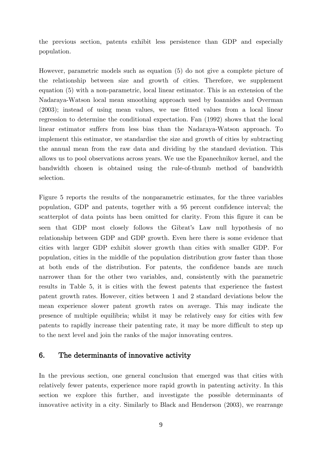the previous section, patents exhibit less persistence than GDP and especially population.

However, parametric models such as equation (5) do not give a complete picture of the relationship between size and growth of cities. Therefore, we supplement equation (5) with a non-parametric, local linear estimator. This is an extension of the Nadaraya-Watson local mean smoothing approach used by Ioannides and Overman (2003); instead of using mean values, we use fitted values from a local linear regression to determine the conditional expectation. Fan (1992) shows that the local linear estimator suffers from less bias than the Nadaraya-Watson approach. To implement this estimator, we standardise the size and growth of cities by subtracting the annual mean from the raw data and dividing by the standard deviation. This allows us to pool observations across years. We use the Epanechnikov kernel, and the bandwidth chosen is obtained using the rule-of-thumb method of bandwidth selection.

Figure 5 reports the results of the nonparametric estimates, for the three variables population, GDP and patents, together with a 95 percent confidence interval; the scatterplot of data points has been omitted for clarity. From this figure it can be seen that GDP most closely follows the Gibrat's Law null hypothesis of no relationship between GDP and GDP growth. Even here there is some evidence that cities with larger GDP exhibit slower growth than cities with smaller GDP. For population, cities in the middle of the population distribution grow faster than those at both ends of the distribution. For patents, the confidence bands are much narrower than for the other two variables, and, consistently with the parametric results in Table 5, it is cities with the fewest patents that experience the fastest patent growth rates. However, cities between 1 and 2 standard deviations below the mean experience slower patent growth rates on average. This may indicate the presence of multiple equilibria; whilst it may be relatively easy for cities with few patents to rapidly increase their patenting rate, it may be more difficult to step up to the next level and join the ranks of the major innovating centres.

## 6. The determinants of innovative activity

In the previous section, one general conclusion that emerged was that cities with relatively fewer patents, experience more rapid growth in patenting activity. In this section we explore this further, and investigate the possible determinants of innovative activity in a city. Similarly to Black and Henderson (2003), we rearrange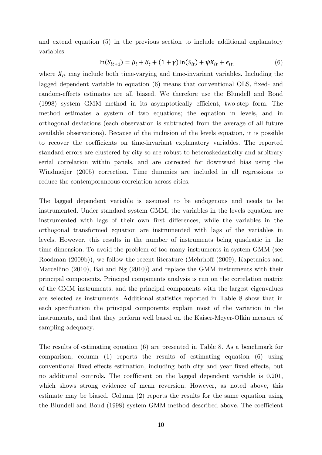and extend equation (5) in the previous section to include additional explanatory variables:

$$
\ln(S_{it+1}) = \beta_i + \delta_t + (1 + \gamma) \ln(S_{it}) + \psi X_{it} + \epsilon_{it},\tag{6}
$$

where  $X_{it}$  may include both time-varying and time-invariant variables. Including the lagged dependent variable in equation (6) means that conventional OLS, fixed- and random-effects estimates are all biased. We therefore use the Blundell and Bond (1998) system GMM method in its asymptotically efficient, two-step form. The method estimates a system of two equations; the equation in levels, and in orthogonal deviations (each observation is subtracted from the average of all future available observations). Because of the inclusion of the levels equation, it is possible to recover the coefficients on time-invariant explanatory variables. The reported standard errors are clustered by city so are robust to heteroskedasticity and arbitrary serial correlation within panels, and are corrected for downward bias using the Windmeijer (2005) correction. Time dummies are included in all regressions to reduce the contemporaneous correlation across cities.

The lagged dependent variable is assumed to be endogenous and needs to be instrumented. Under standard system GMM, the variables in the levels equation are instrumented with lags of their own first differences, while the variables in the orthogonal transformed equation are instrumented with lags of the variables in levels. However, this results in the number of instruments being quadratic in the time dimension. To avoid the problem of too many instruments in system GMM (see Roodman (2009b)), we follow the recent literature (Mehrhoff (2009), Kapetanios and Marcellino (2010), Bai and Ng (2010)) and replace the GMM instruments with their principal components. Principal components analysis is run on the correlation matrix of the GMM instruments, and the principal components with the largest eigenvalues are selected as instruments. Additional statistics reported in Table 8 show that in each specification the principal components explain most of the variation in the instruments, and that they perform well based on the Kaiser-Meyer-Olkin measure of sampling adequacy.

The results of estimating equation (6) are presented in Table 8. As a benchmark for comparison, column (1) reports the results of estimating equation (6) using conventional fixed effects estimation, including both city and year fixed effects, but no additional controls. The coefficient on the lagged dependent variable is 0.201, which shows strong evidence of mean reversion. However, as noted above, this estimate may be biased. Column (2) reports the results for the same equation using the Blundell and Bond (1998) system GMM method described above. The coefficient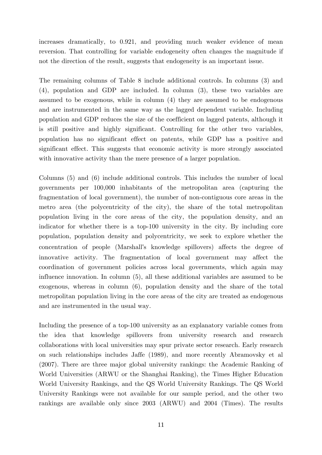increases dramatically, to 0.921, and providing much weaker evidence of mean reversion. That controlling for variable endogeneity often changes the magnitude if not the direction of the result, suggests that endogeneity is an important issue.

The remaining columns of Table 8 include additional controls. In columns (3) and (4), population and GDP are included. In column (3), these two variables are assumed to be exogenous, while in column (4) they are assumed to be endogenous and are instrumented in the same way as the lagged dependent variable. Including population and GDP reduces the size of the coefficient on lagged patents, although it is still positive and highly significant. Controlling for the other two variables, population has no significant effect on patents, while GDP has a positive and significant effect. This suggests that economic activity is more strongly associated with innovative activity than the mere presence of a larger population.

Columns (5) and (6) include additional controls. This includes the number of local governments per 100,000 inhabitants of the metropolitan area (capturing the fragmentation of local government), the number of non-contiguous core areas in the metro area (the polycentricity of the city), the share of the total metropolitan population living in the core areas of the city, the population density, and an indicator for whether there is a top-100 university in the city. By including core population, population density and polycentricity, we seek to explore whether the concentration of people (Marshall's knowledge spillovers) affects the degree of innovative activity. The fragmentation of local government may affect the coordination of government policies across local governments, which again may influence innovation. In column (5), all these additional variables are assumed to be exogenous, whereas in column (6), population density and the share of the total metropolitan population living in the core areas of the city are treated as endogenous and are instrumented in the usual way.

Including the presence of a top-100 university as an explanatory variable comes from the idea that knowledge spillovers from university research and research collaborations with local universities may spur private sector research. Early research on such relationships includes Jaffe (1989), and more recently Abramovsky et al (2007). There are three major global university rankings: the Academic Ranking of World Universities (ARWU or the Shanghai Ranking), the Times Higher Education World University Rankings, and the QS World University Rankings. The QS World University Rankings were not available for our sample period, and the other two rankings are available only since 2003 (ARWU) and 2004 (Times). The results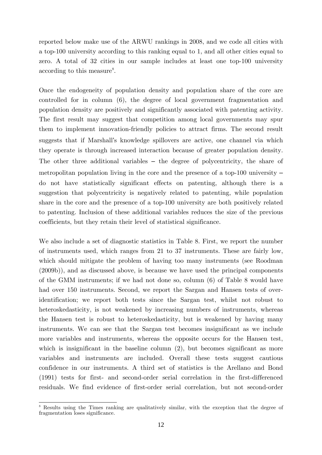reported below make use of the ARWU rankings in 2008, and we code all cities with a top-100 university according to this ranking equal to 1, and all other cities equal to zero. A total of 32 cities in our sample includes at least one top-100 university according to this measure<sup>[8](#page-12-0)</sup>.

Once the endogeneity of population density and population share of the core are controlled for in column (6), the degree of local government fragmentation and population density are positively and significantly associated with patenting activity. The first result may suggest that competition among local governments may spur them to implement innovation-friendly policies to attract firms. The second result suggests that if Marshall's knowledge spillovers are active, one channel via which they operate is through increased interaction because of greater population density. The other three additional variables – the degree of polycentricity, the share of metropolitan population living in the core and the presence of a top-100 university – do not have statistically significant effects on patenting, although there is a suggestion that polycentricity is negatively related to patenting, while population share in the core and the presence of a top-100 university are both positively related to patenting. Inclusion of these additional variables reduces the size of the previous coefficients, but they retain their level of statistical significance.

We also include a set of diagnostic statistics in Table 8. First, we report the number of instruments used, which ranges from 21 to 37 instruments. These are fairly low, which should mitigate the problem of having too many instruments (see Roodman (2009b)), and as discussed above, is because we have used the principal components of the GMM instruments; if we had not done so, column (6) of Table 8 would have had over 150 instruments. Second, we report the Sargan and Hansen tests of overidentification; we report both tests since the Sargan test, whilst not robust to heteroskedasticity, is not weakened by increasing numbers of instruments, whereas the Hansen test is robust to heteroskedasticity, but is weakened by having many instruments. We can see that the Sargan test becomes insignificant as we include more variables and instruments, whereas the opposite occurs for the Hansen test, which is insignificant in the baseline column  $(2)$ , but becomes significant as more variables and instruments are included. Overall these tests suggest cautious confidence in our instruments. A third set of statistics is the Arellano and Bond (1991) tests for first- and second-order serial correlation in the first-differenced residuals. We find evidence of first-order serial correlation, but not second-order

<span id="page-12-0"></span><sup>&</sup>lt;sup>8</sup> Results using the Times ranking are qualitatively similar, with the exception that the degree of fragmentation loses significance.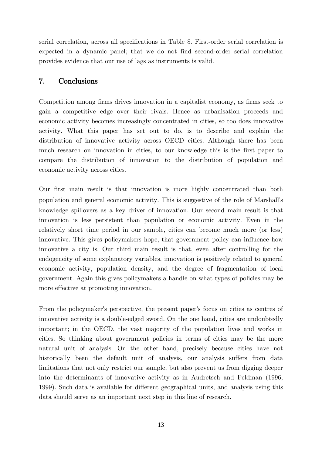serial correlation, across all specifications in Table 8. First-order serial correlation is expected in a dynamic panel; that we do not find second-order serial correlation provides evidence that our use of lags as instruments is valid.

# 7. Conclusions

Competition among firms drives innovation in a capitalist economy, as firms seek to gain a competitive edge over their rivals. Hence as urbanisation proceeds and economic activity becomes increasingly concentrated in cities, so too does innovative activity. What this paper has set out to do, is to describe and explain the distribution of innovative activity across OECD cities. Although there has been much research on innovation in cities, to our knowledge this is the first paper to compare the distribution of innovation to the distribution of population and economic activity across cities.

Our first main result is that innovation is more highly concentrated than both population and general economic activity. This is suggestive of the role of Marshall's knowledge spillovers as a key driver of innovation. Our second main result is that innovation is less persistent than population or economic activity. Even in the relatively short time period in our sample, cities can become much more (or less) innovative. This gives policymakers hope, that government policy can influence how innovative a city is. Our third main result is that, even after controlling for the endogeneity of some explanatory variables, innovation is positively related to general economic activity, population density, and the degree of fragmentation of local government. Again this gives policymakers a handle on what types of policies may be more effective at promoting innovation.

From the policymaker's perspective, the present paper's focus on cities as centres of innovative activity is a double-edged sword. On the one hand, cities are undoubtedly important; in the OECD, the vast majority of the population lives and works in cities. So thinking about government policies in terms of cities may be the more natural unit of analysis. On the other hand, precisely because cities have not historically been the default unit of analysis, our analysis suffers from data limitations that not only restrict our sample, but also prevent us from digging deeper into the determinants of innovative activity as in Audretsch and Feldman (1996, 1999). Such data is available for different geographical units, and analysis using this data should serve as an important next step in this line of research.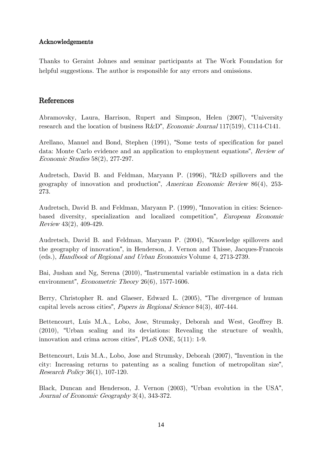#### Acknowledgements

Thanks to Geraint Johnes and seminar participants at The Work Foundation for helpful suggestions. The author is responsible for any errors and omissions.

## References

Abramovsky, Laura, Harrison, Rupert and Simpson, Helen (2007), "University research and the location of business R&D", *Economic Journal* 117(519), C114-C141.

Arellano, Manuel and Bond, Stephen (1991), "Some tests of specification for panel data: Monte Carlo evidence and an application to employment equations", Review of Economic Studies 58(2), 277-297.

Audretsch, David B. and Feldman, Maryann P. (1996), "R&D spillovers and the geography of innovation and production", American Economic Review 86(4), 253- 273.

Audretsch, David B. and Feldman, Maryann P. (1999), "Innovation in cities: Sciencebased diversity, specialization and localized competition", European Economic Review 43(2), 409-429.

Audretsch, David B. and Feldman, Maryann P. (2004), "Knowledge spillovers and the geography of innovation", in Henderson, J. Vernon and Thisse, Jacques-Francois (eds.), Handbook of Regional and Urban Economics Volume 4, 2713-2739.

Bai, Jushan and Ng, Serena (2010), "Instrumental variable estimation in a data rich environment", Econometric Theory 26(6), 1577-1606.

Berry, Christopher R. and Glaeser, Edward L. (2005), "The divergence of human capital levels across cities", Papers in Regional Science 84(3), 407-444.

Bettencourt, Luis M.A., Lobo, Jose, Strumsky, Deborah and West, Geoffrey B. (2010), "Urban scaling and its deviations: Revealing the structure of wealth, innovation and crima across cities", PLoS ONE, 5(11): 1-9.

Bettencourt, Luis M.A., Lobo, Jose and Strumsky, Deborah (2007), "Invention in the city: Increasing returns to patenting as a scaling function of metropolitan size", Research Policy 36(1), 107-120.

Black, Duncan and Henderson, J. Vernon (2003), "Urban evolution in the USA", Journal of Economic Geography 3(4), 343-372.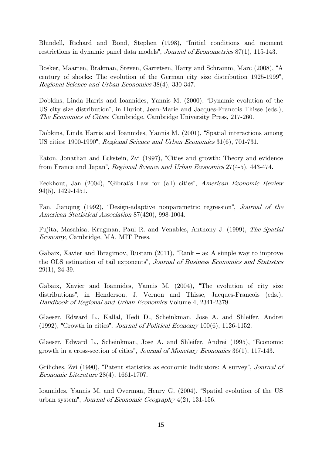Blundell, Richard and Bond, Stephen (1998), "Initial conditions and moment restrictions in dynamic panel data models", *Journal of Econometrics* 87(1), 115-143.

Bosker, Maarten, Brakman, Steven, Garretsen, Harry and Schramm, Marc (2008), "A century of shocks: The evolution of the German city size distribution 1925-1999", Regional Science and Urban Economics 38(4), 330-347.

Dobkins, Linda Harris and Ioannides, Yannis M. (2000), "Dynamic evolution of the US city size distribution", in Huriot, Jean-Marie and Jacques-Francois Thisse (eds.), The Economics of Cities, Cambridge, Cambridge University Press, 217-260.

Dobkins, Linda Harris and Ioannides, Yannis M. (2001), "Spatial interactions among US cities: 1900-1990", Regional Science and Urban Economics 31(6), 701-731.

Eaton, Jonathan and Eckstein, Zvi (1997), "Cities and growth: Theory and evidence from France and Japan", Regional Science and Urban Economics 27(4-5), 443-474.

Eeckhout, Jan (2004), "Gibrat's Law for (all) cities", American Economic Review 94(5), 1429-1451.

Fan, Jianqing (1992), "Design-adaptive nonparametric regression", Journal of the American Statistical Association 87(420), 998-1004.

Fujita, Masahisa, Krugman, Paul R. and Venables, Anthony J. (1999), The Spatial Economy, Cambridge, MA, MIT Press.

Gabaix, Xavier and Ibragimov, Rustam  $(2011)$ , "Rank –  $\alpha$ : A simple way to improve the OLS estimation of tail exponents", Journal of Business Economics and Statistics 29(1), 24-39.

Gabaix, Xavier and Ioannides, Yannis M. (2004), "The evolution of city size distributions", in Henderson, J. Vernon and Thisse, Jacques-Francois (eds.), Handbook of Regional and Urban Economics Volume 4, 2341-2379.

Glaeser, Edward L., Kallal, Hedi D., Scheinkman, Jose A. and Shleifer, Andrei  $(1992)$ , "Growth in cities", *Journal of Political Economy*  $100(6)$ ,  $1126-1152$ .

Glaeser, Edward L., Scheinkman, Jose A. and Shleifer, Andrei (1995), "Economic growth in a cross-section of cities", Journal of Monetary Economics 36(1), 117-143.

Griliches, Zvi (1990), "Patent statistics as economic indicators: A survey", Journal of Economic Literature 28(4), 1661-1707.

Ioannides, Yannis M. and Overman, Henry G. (2004), "Spatial evolution of the US urban system", Journal of Economic Geography 4(2), 131-156.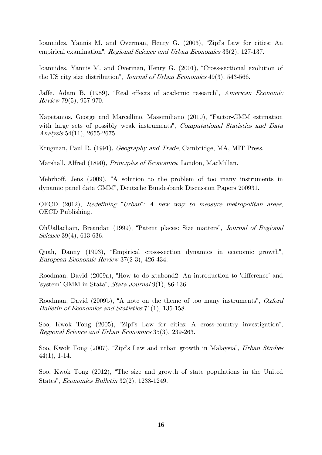Ioannides, Yannis M. and Overman, Henry G. (2003), "Zipf's Law for cities: An empirical examination", Regional Science and Urban Economics 33(2), 127-137.

Ioannides, Yannis M. and Overman, Henry G. (2001), "Cross-sectional exolution of the US city size distribution", Journal of Urban Economics 49(3), 543-566.

Jaffe. Adam B. (1989), "Real effects of academic research", American Economic Review 79(5), 957-970.

Kapetanios, George and Marcellino, Massimiliano (2010), "Factor-GMM estimation with large sets of possibly weak instruments", *Computational Statistics and Data* Analysis 54(11), 2655-2675.

Krugman, Paul R. (1991), Geography and Trade, Cambridge, MA, MIT Press.

Marshall, Alfred (1890), Principles of Economics, London, MacMillan.

Mehrhoff, Jens (2009), "A solution to the problem of too many instruments in dynamic panel data GMM", Deutsche Bundesbank Discussion Papers 200931.

OECD (2012), Redefining *"*Urban*"*: A new way to measure metropolitan areas, OECD Publishing.

OhUallachain, Breandan (1999), "Patent places: Size matters", Journal of Regional Science 39(4), 613-636.

Quah, Danny (1993), "Empirical cross-section dynamics in economic growth", European Economic Review 37(2-3), 426-434.

Roodman, David (2009a), "How to do xtabond2: An introduction to 'difference' and 'system' GMM in Stata", Stata Journal 9(1), 86-136.

Roodman, David (2009b), "A note on the theme of too many instruments", Oxford Bulletin of Economics and Statistics 71(1), 135-158.

Soo, Kwok Tong (2005), "Zipf's Law for cities: A cross-country investigation", Regional Science and Urban Economics 35(3), 239-263.

Soo, Kwok Tong (2007), "Zipf's Law and urban growth in Malaysia", Urban Studies 44(1), 1-14.

Soo, Kwok Tong (2012), "The size and growth of state populations in the United States", Economics Bulletin 32(2), 1238-1249.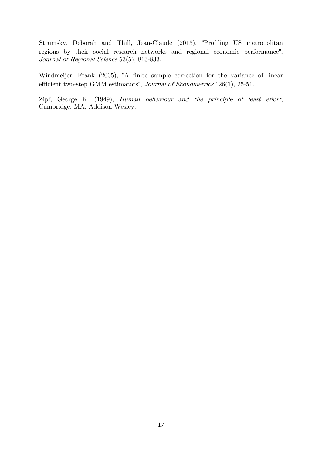Strumsky, Deborah and Thill, Jean-Claude (2013), "Profiling US metropolitan regions by their social research networks and regional economic performance", Journal of Regional Science 53(5), 813-833.

Windmeijer, Frank (2005), "A finite sample correction for the variance of linear efficient two-step GMM estimators", Journal of Econometrics 126(1), 25-51.

Zipf, George K. (1949), Human behaviour and the principle of least effort, Cambridge, MA, Addison-Wesley.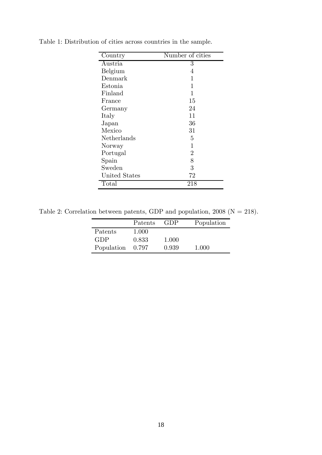| Country       | Number of cities |
|---------------|------------------|
| Austria       | 3                |
| Belgium       | 4                |
| Denmark       | 1                |
| Estonia       | 1                |
| Finland       | 1                |
| France        | 15               |
| Germany       | 24               |
| Italy         | 11               |
| Japan         | 36               |
| Mexico        | 31               |
| Netherlands   | 5                |
| Norway        | 1                |
| Portugal      | $\overline{2}$   |
| Spain         | 8                |
| Sweden        | 3                |
| United States | 72               |
| Total         | 218              |

Table 1: Distribution of cities across countries in the sample.

Table 2: Correlation between patents, GDP and population,  $2008$  (N = 218).

|            | Patents | GDP   | Population |
|------------|---------|-------|------------|
| Patents    | 1.000   |       |            |
| GDP        | 0.833   | 1.000 |            |
| Population | 0.797   | 0.939 | 1.000      |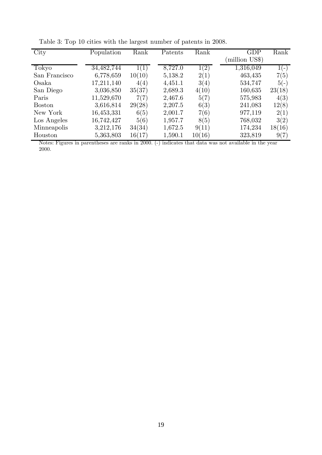| City          | Population   | Rank   | Patents | Rank   | GDP           | Rank   |
|---------------|--------------|--------|---------|--------|---------------|--------|
|               |              |        |         |        | million US\$) |        |
| Tokyo         | 34, 482, 744 | 1(1)   | 8,727.0 | 1(2)   | 1,316,049     | $1(-)$ |
| San Francisco | 6,778,659    | 10(10) | 5,138.2 | 2(1)   | 463,435       | 7(5)   |
| Osaka         | 17,211,140   | 4(4)   | 4,451.1 | 3(4)   | 534,747       | $5(-)$ |
| San Diego     | 3,036,850    | 35(37) | 2,689.3 | 4(10)  | 160,635       | 23(18) |
| Paris         | 11,529,670   | 7(7)   | 2,467.6 | 5(7)   | 575,983       | 4(3)   |
| <b>Boston</b> | 3,616,814    | 29(28) | 2,207.5 | 6(3)   | 241,083       | 12(8)  |
| New York      | 16,453,331   | 6(5)   | 2,001.7 | 7(6)   | 977,119       | 2(1)   |
| Los Angeles   | 16,742,427   | 5(6)   | 1,957.7 | 8(5)   | 768,032       | 3(2)   |
| Minneapolis   | 3,212,176    | 34(34) | 1,672.5 | 9(11)  | 174,234       | 18(16) |
| Houston       | 5,363,803    | 16(17) | 1,590.1 | 10(16) | 323,819       | 9(7)   |

Table 3: Top 10 cities with the largest number of patents in 2008.

Notes: Figures in parentheses are ranks in 2000. (-) indicates that data was not available in the year 2000.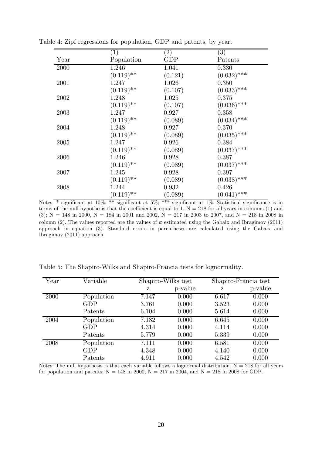|      | $\left( 1\right)$       | $\left( 2\right)$ | $\left( 3\right)$ |
|------|-------------------------|-------------------|-------------------|
| Year | Population              | GDP               | Patents           |
| 2000 | 1.246                   | 1.041             | 0.330             |
|      | $(0.119)$ **            | (0.121)           | $(0.032)$ ***     |
| 2001 | 1.247                   | 1.026             | 0.350             |
|      | $(0.119)$ **            | (0.107)           | $(0.033)$ ***     |
| 2002 | 1.248                   | 1.025             | 0.375             |
|      | $(0.119)$ **            | (0.107)           | $(0.036)$ ***     |
| 2003 | 1.247                   | 0.927             | 0.358             |
|      | $(0.119)$ **            | (0.089)           | $(0.034)$ ***     |
| 2004 | 1.248                   | 0.927             | 0.370             |
|      | $(0.119)$ **            | (0.089)           | $(0.035)$ ***     |
| 2005 | 1.247                   | 0.926             | 0.384             |
|      | $(0.119)$ <sup>**</sup> | (0.089)           | $(0.037)$ ***     |
| 2006 | 1.246                   | 0.928             | 0.387             |
|      | $(0.119)$ **            | (0.089)           | $(0.037)$ ***     |
| 2007 | 1.245                   | 0.928             | 0.397             |
|      | $(0.119)$ **            | (0.089)           | $(0.038)$ ***     |
| 2008 | 1.244                   | 0.932             | 0.426             |
|      | $(0.119)$ **            | (0.089)           | $(0.041)$ ***     |

Table 4: Zipf regressions for population, GDP and patents, by year.

Notes: \* significant at 10%; \*\* significant at 5%; \*\*\* significant at 1%. Statistical significance is in terms of the null hypothesis that the coefficient is equal to 1.  $N = 218$  for all years in columns (1) and  $(3); N = 148$  in 2000, N = 184 in 2001 and 2002, N = 217 in 2003 to 2007, and N = 218 in 2008 in column (2). The values reported are the values of  $\alpha$  estimated using the Gabaix and Ibragimov (2011) approach in equation (3). Standard errors in parentheses are calculated using the Gabaix and Ibragimov (2011) approach.

| Year | Variable   |       | Shapiro-Wilks test |       | Shapiro-Francia test |
|------|------------|-------|--------------------|-------|----------------------|
|      |            | z     | p-value            | Z     | p-value              |
| 2000 | Population | 7.147 | 0.000              | 6.617 | 0.000                |
|      | <b>GDP</b> | 3.761 | 0.000              | 3.523 | 0.000                |
|      | Patents    | 6.104 | 0.000              | 5.614 | 0.000                |
| 2004 | Population | 7.182 | 0.000              | 6.645 | 0.000                |
|      | GDP        | 4.314 | 0.000              | 4.114 | 0.000                |
|      | Patents    | 5.779 | 0.000              | 5.339 | 0.000                |
| 2008 | Population | 7.111 | 0.000              | 6.581 | 0.000                |
|      | <b>GDP</b> | 4.348 | 0.000              | 4.140 | 0.000                |
|      | Patents    | 4.911 | 0.000              | 4.542 | 0.000                |

Table 5: The Shapiro-Wilks and Shapiro-Francia tests for lognormality.

Notes: The null hypothesis is that each variable follows a lognormal distribution.  $N = 218$  for all years for population and patents;  $N = 148$  in 2000,  $N = 217$  in 2004, and  $N = 218$  in 2008 for GDP.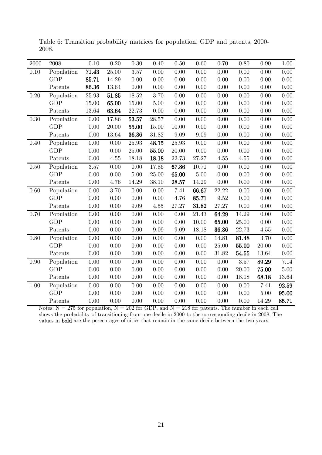| 2000 | 2008       | 0.10      | 0.20  | 0.30     | 0.40  | 0.50      | 0.60     | 0.70  | 0.80     | 0.90  | 1.00     |
|------|------------|-----------|-------|----------|-------|-----------|----------|-------|----------|-------|----------|
| 0.10 | Population | 71.43     | 25.00 | 3.57     | 0.00  | 0.00      | 0.00     | 0.00  | 0.00     | 0.00  | 0.00     |
|      | <b>GDP</b> | 85.71     | 14.29 | 0.00     | 0.00  | 0.00      | 0.00     | 0.00  | 0.00     | 0.00  | 0.00     |
|      | Patents    | 86.36     | 13.64 | 0.00     | 0.00  | $0.00\,$  | 0.00     | 0.00  | 0.00     | 0.00  | 0.00     |
| 0.20 | Population | $25.93\,$ | 51.85 | 18.52    | 3.70  | 0.00      | 0.00     | 0.00  | 0.00     | 0.00  | 0.00     |
|      | <b>GDP</b> | 15.00     | 65.00 | 15.00    | 5.00  | 0.00      | 0.00     | 0.00  | 0.00     | 0.00  | 0.00     |
|      | Patents    | $13.64\,$ | 63.64 | 22.73    | 0.00  | 0.00      | 0.00     | 0.00  | 0.00     | 0.00  | 0.00     |
| 0.30 | Population | 0.00      | 17.86 | 53.57    | 28.57 | 0.00      | 0.00     | 0.00  | 0.00     | 0.00  | 0.00     |
|      | <b>GDP</b> | 0.00      | 20.00 | 55.00    | 15.00 | $10.00\,$ | 0.00     | 0.00  | 0.00     | 0.00  | 0.00     |
|      | Patents    | 0.00      | 13.64 | 36.36    | 31.82 | 9.09      | 9.09     | 0.00  | 0.00     | 0.00  | 0.00     |
| 0.40 | Population | 0.00      | 0.00  | 25.93    | 48.15 | 25.93     | 0.00     | 0.00  | 0.00     | 0.00  | 0.00     |
|      | <b>GDP</b> | $0.00\,$  | 0.00  | 25.00    | 55.00 | 20.00     | 0.00     | 0.00  | 0.00     | 0.00  | 0.00     |
|      | Patents    | 0.00      | 4.55  | 18.18    | 18.18 | 22.73     | 27.27    | 4.55  | 4.55     | 0.00  | 0.00     |
| 0.50 | Population | 3.57      | 0.00  | 0.00     | 17.86 | 67.86     | 10.71    | 0.00  | 0.00     | 0.00  | 0.00     |
|      | <b>GDP</b> | $0.00\,$  | 0.00  | $5.00\,$ | 25.00 | 65.00     | $5.00\,$ | 0.00  | $0.00\,$ | 0.00  | 0.00     |
|      | Patents    | 0.00      | 4.76  | 14.29    | 38.10 | 28.57     | 14.29    | 0.00  | 0.00     | 0.00  | 0.00     |
| 0.60 | Population | 0.00      | 3.70  | 0.00     | 0.00  | 7.41      | 66.67    | 22.22 | 0.00     | 0.00  | 0.00     |
|      | <b>GDP</b> | 0.00      | 0.00  | 0.00     | 0.00  | 4.76      | 85.71    | 9.52  | 0.00     | 0.00  | 0.00     |
|      | Patents    | 0.00      | 0.00  | 9.09     | 4.55  | 27.27     | 31.82    | 27.27 | 0.00     | 0.00  | 0.00     |
| 0.70 | Population | $0.00\,$  | 0.00  | 0.00     | 0.00  | 0.00      | 21.43    | 64.29 | 14.29    | 0.00  | $0.00\,$ |
|      | <b>GDP</b> | 0.00      | 0.00  | 0.00     | 0.00  | 0.00      | 10.00    | 65.00 | 25.00    | 0.00  | 0.00     |
|      | Patents    | 0.00      | 0.00  | 0.00     | 9.09  | 9.09      | 18.18    | 36.36 | 22.73    | 4.55  | 0.00     |
| 0.80 | Population | 0.00      | 0.00  | 0.00     | 0.00  | 0.00      | 0.00     | 14.81 | 81.48    | 3.70  | $0.00\,$ |
|      | <b>GDP</b> | 0.00      | 0.00  | 0.00     | 0.00  | 0.00      | 0.00     | 25.00 | 55.00    | 20.00 | 0.00     |
|      | Patents    | 0.00      | 0.00  | 0.00     | 0.00  | 0.00      | 0.00     | 31.82 | 54.55    | 13.64 | 0.00     |
| 0.90 | Population | 0.00      | 0.00  | 0.00     | 0.00  | 0.00      | 0.00     | 0.00  | 3.57     | 89.29 | 7.14     |
|      | <b>GDP</b> | 0.00      | 0.00  | 0.00     | 0.00  | 0.00      | 0.00     | 0.00  | 20.00    | 75.00 | $5.00\,$ |
|      | Patents    | 0.00      | 0.00  | 0.00     | 0.00  | 0.00      | 0.00     | 0.00  | 18.18    | 68.18 | 13.64    |
| 1.00 | Population | 0.00      | 0.00  | 0.00     | 0.00  | 0.00      | 0.00     | 0.00  | 0.00     | 7.41  | 92.59    |
|      | <b>GDP</b> | 0.00      | 0.00  | 0.00     | 0.00  | 0.00      | 0.00     | 0.00  | 0.00     | 5.00  | 95.00    |
|      | Patents    | 0.00      | 0.00  | 0.00     | 0.00  | 0.00      | 0.00     | 0.00  | 0.00     | 14.29 | 85.71    |

Table 6: Transition probability matrices for population, GDP and patents, 2000- 2008.

Notes:  $N = 275$  for population,  $N = 202$  for GDP, and  $N = 218$  for patents. The number in each cell shows the probability of transitioning from one decile in 2000 to the corresponding decile in 2008. The values in bold are the percentages of cities that remain in the same decile between the two years.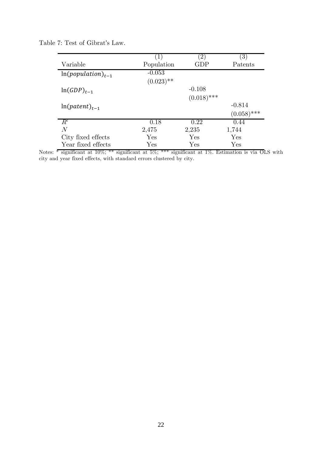| Table 7: Test of Gibrat's Law. |  |
|--------------------------------|--|
|--------------------------------|--|

|                        | (1)          | $\left( 2\right)$ | $\left( 3\right)$ |
|------------------------|--------------|-------------------|-------------------|
| Variable               | Population   | GDP               | Patents           |
| $ln(population)_{t-1}$ | $-0.053$     |                   |                   |
|                        | $(0.023)$ ** |                   |                   |
| $ln(GDP)_{t-1}$        |              | $-0.108$          |                   |
|                        |              | $(0.018)$ ***     |                   |
| $ln(patent)_{t-1}$     |              |                   | $-0.814$          |
|                        |              |                   | $(0.058)$ ***     |
| $R^2$                  | 0.18         | 0.22              | 0.44              |
| N                      | 2,475        | 2,235             | 1,744             |
| City fixed effects     | Yes          | Yes               | Yes               |
| Year fixed effects     | Yes          | Yes               | Yes               |

Notes:  $\overline{\ast}$  significant at 10%;  $\overline{\ast}$  significant at 5%;  $\overline{\ast}$  significant at 1%. Estimation is via OLS with city and year fixed effects, with standard errors clustered by city.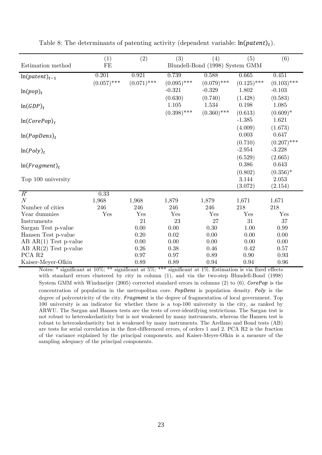|                            | (1)           | (2)           | (3)           | (4)                             | (5)                 | (6)                       |
|----------------------------|---------------|---------------|---------------|---------------------------------|---------------------|---------------------------|
| Estimation method          | FE            |               |               | Blundell-Bond (1998) System GMM |                     |                           |
| $ln(patent)_{t-1}$         | 0.201         | 0.921         | 0.739         | 0.588                           | 0.665               | 0.451                     |
|                            | $(0.057)$ *** | $(0.071)$ *** | $(0.095)$ *** | $(0.079)$ ***                   | $(0.125)$ ***       | $(0.103)$ ***             |
| $ln(pop)_t$                |               |               | $-0.321$      | $-0.329$                        | 1.802               | $-0.103$                  |
|                            |               |               | (0.630)       | (0.740)                         | (1.428)             | (0.583)                   |
| $ln(GDP)_t$                |               |               | $1.105\,$     | 1.534                           | 0.198               | 1.085                     |
|                            |               |               | $(0.398)$ *** | $(0.360)$ ***                   | (0.613)             | $(0.609)*$                |
| $ln(CorePop)_t$            |               |               |               |                                 | $-1.385$            | 1.621                     |
|                            |               |               |               |                                 | (4.009)             | (1.673)                   |
| $ln(PopDens)_t$            |               |               |               |                                 | 0.003               | 0.647                     |
|                            |               |               |               |                                 | (0.710)<br>$-2.954$ | $(0.207)$ ***<br>$-3.228$ |
| $ln(Poly)_t$               |               |               |               |                                 | (6.529)             | (2.665)                   |
| $ln(Fragment)_t$           |               |               |               |                                 | 0.386               | 0.643                     |
|                            |               |               |               |                                 | (0.802)             | $(0.356)^*$               |
| Top 100 university         |               |               |               |                                 | 3.144               | 2.053                     |
|                            |               |               |               |                                 | (3.072)             | (2.154)                   |
| $R^{\scriptscriptstyle 2}$ | 0.33          |               |               |                                 |                     |                           |
| N                          | 1,968         | 1,968         | 1,879         | 1,879                           | 1,671               | 1,671                     |
| Number of cities           | 246           | 246           | 246           | 246                             | 218                 | 218                       |
| Year dummies               | Yes           | Yes           | Yes           | Yes                             | Yes                 | Yes                       |
| Instruments                |               | 21            | 23            | 27                              | 31                  | 37                        |
| Sargan Test p-value        |               | 0.00          | 0.00          | 0.30                            | 1.00                | 0.99                      |
| Hansen Test p-value        |               | 0.20          | 0.02          | 0.00                            | 0.00                | 0.00                      |
| $AB AR(1) Test p-value$    |               | 0.00          | 0.00          | 0.00                            | 0.00                | 0.00                      |
| $AB AR(2) Test p-value$    |               | 0.26          | 0.38          | 0.46                            | 0.42                | 0.57                      |
| PCA R <sub>2</sub>         |               | 0.97          | 0.97          | 0.89                            | 0.90                | 0.93                      |
| Kaiser-Meyer-Olkin         |               | 0.89          | 0.89          | 0.94                            | 0.94                | 0.96                      |

Table 8: The determinants of patenting activity (dependent variable:  $\ln(\text{pattern})_t$ ).

Notes: \* significant at 10%; \*\* significant at 5%; \*\*\* significant at 1%. Estimation is via fixed effects with standard errors clustered by city in column (1), and via the two-step Blundell-Bond (1998) System GMM with Windmeijer (2005) corrected standard errors in columns (2) to (6). CorePop is the concentration of population in the metropolitan core. PopDens is population density. Poly is the degree of polycentricity of the city. Fragment is the degree of fragmentation of local government. Top 100 university is an indicator for whether there is a top-100 university in the city, as ranked by ARWU. The Sargan and Hansen tests are the tests of over-identifying restrictions. The Sargan test is not robust to heteroskedasticity but is not weakened by many instruments, whereas the Hansen test is robust to heteroskedasticity but is weakened by many instruments. The Arellano and Bond tests (AB) are tests for serial correlation in the first-differenced errors, of orders 1 and 2. PCA R2 is the fraction of the variance explained by the principal components, and Kaiser-Meyer-Olkin is a measure of the sampling adequacy of the principal components.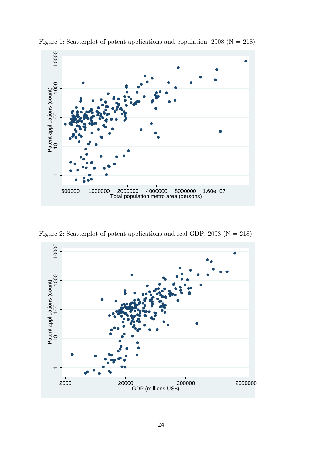

Figure 1: Scatterplot of patent applications and population, (N = 218).

Figure 2: Scatterplot of patent applications and real GDP, 2008 ( $N = 218$ ).

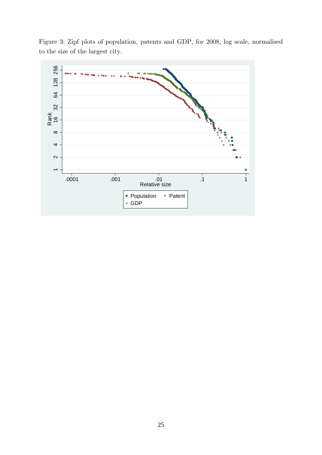

Figure 3: Zipf plots of population, patents and GDP, for 2008, log scale, normalised to the size of the largest city.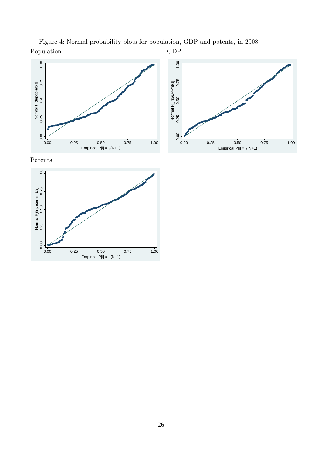Figure 4: Normal probability plots for population, GDP and patents, in 2008. Population GDP